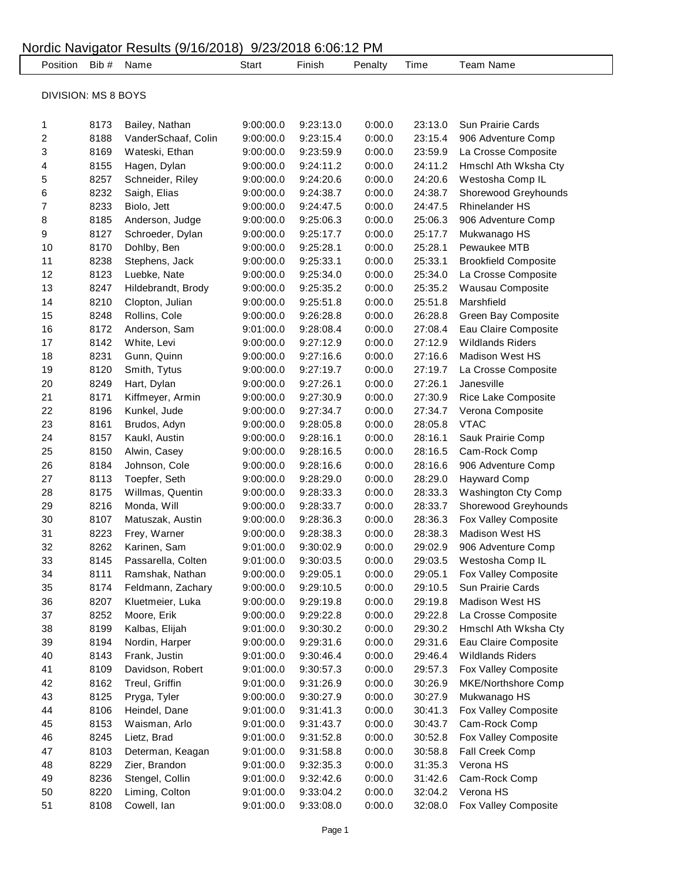| Nordic Navigator Results (9/16/2018) 9/23/2018 6:06:12 PM |              |                                |                        |                        |                  |                    |                                           |  |
|-----------------------------------------------------------|--------------|--------------------------------|------------------------|------------------------|------------------|--------------------|-------------------------------------------|--|
| Position Bib #                                            |              | Name                           | <b>Start</b>           | Finish                 | Penalty          | Time               | <b>Team Name</b>                          |  |
| <b>DIVISION: MS 8 BOYS</b>                                |              |                                |                        |                        |                  |                    |                                           |  |
| 1                                                         | 8173         | Bailey, Nathan                 | 9:00:00.0              | 9:23:13.0              | 0:00.0           | 23:13.0            | Sun Prairie Cards                         |  |
| 2                                                         | 8188         | VanderSchaaf, Colin            | 9:00:00.0              | 9:23:15.4              | 0:00.0           | 23:15.4            | 906 Adventure Comp                        |  |
| 3                                                         | 8169         | Wateski, Ethan                 | 9:00:00.0              | 9:23:59.9              | 0:00.0           | 23:59.9            | La Crosse Composite                       |  |
| 4                                                         | 8155         | Hagen, Dylan                   | 9:00:00.0              | 9:24:11.2              | 0:00.0           | 24:11.2            | Hmschl Ath Wksha Cty                      |  |
| 5                                                         | 8257         | Schneider, Riley               | 9:00:00.0              | 9:24:20.6              | 0:00.0           | 24:20.6            | Westosha Comp IL                          |  |
| 6                                                         | 8232         | Saigh, Elias                   | 9:00:00.0              | 9:24:38.7              | 0:00.0           | 24:38.7            | Shorewood Greyhounds                      |  |
| 7                                                         | 8233         | Biolo, Jett                    | 9:00:00.0              | 9:24:47.5              | 0:00.0           | 24:47.5            | Rhinelander HS                            |  |
| 8                                                         | 8185         | Anderson, Judge                | 9:00:00.0              | 9:25:06.3              | 0:00.0           | 25:06.3            | 906 Adventure Comp                        |  |
| 9                                                         | 8127         | Schroeder, Dylan               | 9:00:00.0              | 9:25:17.7              | 0:00.0           | 25:17.7            | Mukwanago HS                              |  |
| 10                                                        | 8170         | Dohlby, Ben                    | 9:00:00.0              | 9:25:28.1              | 0:00.0           | 25:28.1            | Pewaukee MTB                              |  |
| 11                                                        | 8238         | Stephens, Jack                 | 9:00:00.0              | 9:25:33.1              | 0:00.0           | 25:33.1            | <b>Brookfield Composite</b>               |  |
| 12                                                        | 8123         | Luebke, Nate                   | 9:00:00.0              | 9:25:34.0              | 0:00.0           | 25:34.0            | La Crosse Composite                       |  |
| 13                                                        | 8247         | Hildebrandt, Brody             | 9:00:00.0              | 9:25:35.2              | 0:00.0           | 25:35.2            | Wausau Composite                          |  |
| 14                                                        | 8210         | Clopton, Julian                | 9:00:00.0              | 9:25:51.8              | 0:00.0           | 25:51.8            | Marshfield                                |  |
| 15                                                        | 8248         | Rollins, Cole                  | 9:00:00.0              | 9:26:28.8              | 0:00.0           | 26:28.8            | Green Bay Composite                       |  |
| 16                                                        | 8172         | Anderson, Sam                  | 9:01:00.0              | 9:28:08.4              | 0:00.0           | 27:08.4            | Eau Claire Composite                      |  |
| 17                                                        | 8142         | White, Levi                    | 9:00:00.0              | 9:27:12.9              | 0:00.0           | 27:12.9            | <b>Wildlands Riders</b>                   |  |
| 18                                                        | 8231         | Gunn, Quinn                    | 9:00:00.0              | 9:27:16.6              | 0:00.0           | 27:16.6            | <b>Madison West HS</b>                    |  |
| 19                                                        | 8120         | Smith, Tytus                   | 9:00:00.0              | 9:27:19.7              | 0:00.0           | 27:19.7            | La Crosse Composite                       |  |
| 20                                                        | 8249         | Hart, Dylan                    | 9:00:00.0              | 9:27:26.1              | 0:00.0           | 27:26.1            | Janesville                                |  |
| 21                                                        | 8171         | Kiffmeyer, Armin               | 9:00:00.0              | 9:27:30.9              | 0:00.0           | 27:30.9            | Rice Lake Composite                       |  |
| 22                                                        | 8196         | Kunkel, Jude                   | 9:00:00.0              | 9:27:34.7              | 0:00.0           | 27:34.7            | Verona Composite                          |  |
| 23                                                        | 8161         | Brudos, Adyn                   | 9:00:00.0              | 9:28:05.8              | 0:00.0           | 28:05.8            | <b>VTAC</b>                               |  |
| 24                                                        | 8157         | Kaukl, Austin                  | 9:00:00.0              | 9:28:16.1              | 0:00.0           | 28:16.1            | Sauk Prairie Comp                         |  |
| 25<br>26                                                  | 8150<br>8184 | Alwin, Casey                   | 9:00:00.0              | 9:28:16.5              | 0:00.0           | 28:16.5            | Cam-Rock Comp                             |  |
| 27                                                        | 8113         | Johnson, Cole<br>Toepfer, Seth | 9:00:00.0<br>9:00:00.0 | 9:28:16.6<br>9:28:29.0 | 0:00.0<br>0:00.0 | 28:16.6<br>28:29.0 | 906 Adventure Comp<br><b>Hayward Comp</b> |  |
| 28                                                        | 8175         | Willmas, Quentin               | 9:00:00.0              | 9:28:33.3              | 0:00.0           | 28:33.3            | Washington Cty Comp                       |  |
| 29                                                        | 8216         | Monda, Will                    | 9:00:00.0              | 9:28:33.7              | 0:00.0           | 28:33.7            | Shorewood Greyhounds                      |  |
| 30                                                        | 8107         | Matuszak, Austin               | 9:00:00.0              | 9:28:36.3              | 0:00.0           | 28:36.3            | Fox Valley Composite                      |  |
| 31                                                        | 8223         | Frey, Warner                   | 9:00:00.0              | 9:28:38.3              | 0:00.0           | 28:38.3            | Madison West HS                           |  |
| 32                                                        | 8262         | Karinen, Sam                   | 9:01:00.0              | 9:30:02.9              | 0:00.0           | 29:02.9            | 906 Adventure Comp                        |  |
| 33                                                        | 8145         | Passarella, Colten             | 9:01:00.0              | 9:30:03.5              | 0:00.0           | 29:03.5            | Westosha Comp IL                          |  |
| 34                                                        | 8111         | Ramshak, Nathan                | 9:00:00.0              | 9:29:05.1              | 0:00.0           | 29:05.1            | Fox Valley Composite                      |  |
| 35                                                        | 8174         | Feldmann, Zachary              | 9:00:00.0              | 9:29:10.5              | 0:00.0           | 29:10.5            | Sun Prairie Cards                         |  |
| 36                                                        | 8207         | Kluetmeier, Luka               | 9:00:00.0              | 9:29:19.8              | 0:00.0           | 29:19.8            | Madison West HS                           |  |
| 37                                                        | 8252         | Moore, Erik                    | 9:00:00.0              | 9:29:22.8              | 0:00.0           | 29:22.8            | La Crosse Composite                       |  |
| 38                                                        | 8199         | Kalbas, Elijah                 | 9:01:00.0              | 9:30:30.2              | 0:00.0           | 29:30.2            | Hmschl Ath Wksha Cty                      |  |
| 39                                                        | 8194         | Nordin, Harper                 | 9:00:00.0              | 9:29:31.6              | 0:00.0           | 29:31.6            | Eau Claire Composite                      |  |
| 40                                                        | 8143         | Frank, Justin                  | 9:01:00.0              | 9:30:46.4              | 0:00.0           | 29:46.4            | <b>Wildlands Riders</b>                   |  |
| 41                                                        | 8109         | Davidson, Robert               | 9:01:00.0              | 9:30:57.3              | 0:00.0           | 29:57.3            | Fox Valley Composite                      |  |
| 42                                                        | 8162         | Treul, Griffin                 | 9:01:00.0              | 9:31:26.9              | 0:00.0           | 30:26.9            | MKE/Northshore Comp                       |  |
| 43                                                        | 8125         | Pryga, Tyler                   | 9:00:00.0              | 9:30:27.9              | 0:00.0           | 30:27.9            | Mukwanago HS                              |  |
| 44                                                        | 8106         | Heindel, Dane                  | 9:01:00.0              | 9:31:41.3              | 0:00.0           | 30:41.3            | Fox Valley Composite                      |  |
| 45                                                        | 8153         | Waisman, Arlo                  | 9:01:00.0              | 9:31:43.7              | 0:00.0           | 30:43.7            | Cam-Rock Comp                             |  |
| 46                                                        | 8245         | Lietz, Brad                    | 9:01:00.0              | 9:31:52.8              | 0:00.0           | 30:52.8            | Fox Valley Composite                      |  |
| 47                                                        | 8103         | Determan, Keagan               | 9:01:00.0              | 9:31:58.8              | 0:00.0           | 30:58.8            | Fall Creek Comp                           |  |
| 48                                                        | 8229         | Zier, Brandon                  | 9:01:00.0              | 9:32:35.3              | 0:00.0           | 31:35.3            | Verona HS                                 |  |
| 49                                                        | 8236         | Stengel, Collin                | 9:01:00.0              | 9:32:42.6              | 0:00.0           | 31:42.6            | Cam-Rock Comp                             |  |
| 50                                                        | 8220         | Liming, Colton                 | 9:01:00.0              | 9:33:04.2              | 0:00.0           | 32:04.2            | Verona HS                                 |  |
| 51                                                        | 8108         | Cowell, Ian                    | 9:01:00.0              | 9:33:08.0              | 0:00.0           | 32:08.0            | Fox Valley Composite                      |  |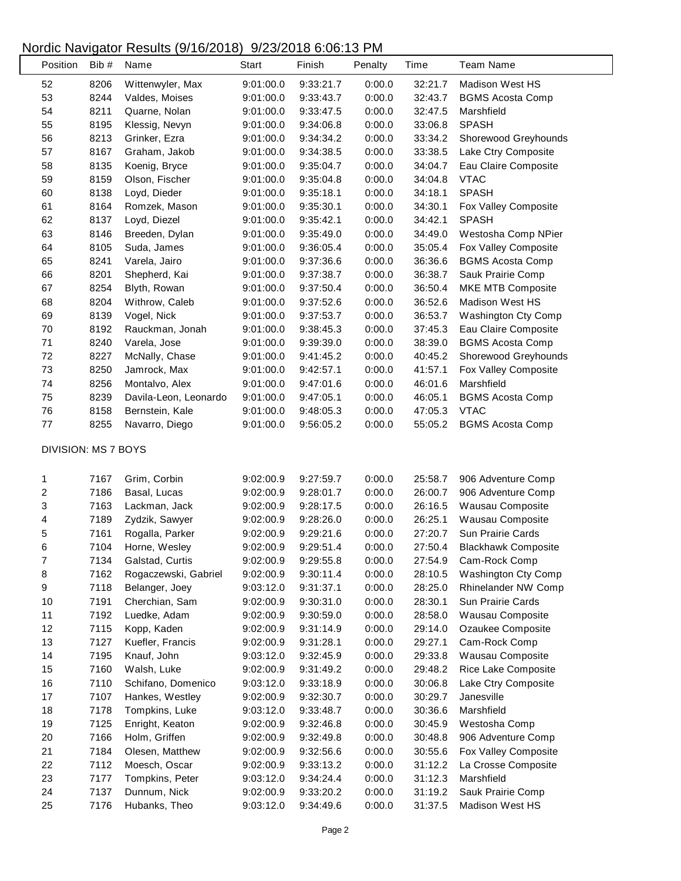## Nordic Navigator Results (9/16/2018) 9/23/2018 6:06:13 PM

| Position            | Bib # | Name                  | Start     | Finish    | Penalty | Time    | <b>Team Name</b>           |
|---------------------|-------|-----------------------|-----------|-----------|---------|---------|----------------------------|
| 52                  | 8206  | Wittenwyler, Max      | 9:01:00.0 | 9:33:21.7 | 0:00.0  | 32:21.7 | <b>Madison West HS</b>     |
| 53                  | 8244  | Valdes, Moises        | 9:01:00.0 | 9:33:43.7 | 0:00.0  | 32:43.7 | <b>BGMS Acosta Comp</b>    |
| 54                  | 8211  | Quarne, Nolan         | 9:01:00.0 | 9:33:47.5 | 0:00.0  | 32:47.5 | Marshfield                 |
| 55                  | 8195  | Klessig, Nevyn        | 9:01:00.0 | 9:34:06.8 | 0:00.0  | 33:06.8 | <b>SPASH</b>               |
| 56                  | 8213  | Grinker, Ezra         | 9:01:00.0 | 9:34:34.2 | 0:00.0  | 33:34.2 | Shorewood Greyhounds       |
| 57                  | 8167  | Graham, Jakob         | 9:01:00.0 | 9:34:38.5 | 0:00.0  | 33:38.5 | Lake Ctry Composite        |
| 58                  | 8135  | Koenig, Bryce         | 9:01:00.0 | 9:35:04.7 | 0:00.0  | 34:04.7 | Eau Claire Composite       |
| 59                  | 8159  | Olson, Fischer        | 9:01:00.0 | 9:35:04.8 | 0:00.0  | 34:04.8 | <b>VTAC</b>                |
| 60                  | 8138  | Loyd, Dieder          | 9:01:00.0 | 9:35:18.1 | 0:00.0  | 34:18.1 | <b>SPASH</b>               |
| 61                  | 8164  | Romzek, Mason         | 9:01:00.0 | 9:35:30.1 | 0:00.0  | 34:30.1 | Fox Valley Composite       |
| 62                  | 8137  | Loyd, Diezel          | 9:01:00.0 | 9:35:42.1 | 0:00.0  | 34:42.1 | <b>SPASH</b>               |
| 63                  | 8146  | Breeden, Dylan        | 9:01:00.0 | 9:35:49.0 | 0:00.0  | 34:49.0 | Westosha Comp NPier        |
| 64                  | 8105  | Suda, James           | 9:01:00.0 | 9:36:05.4 | 0:00.0  | 35:05.4 | Fox Valley Composite       |
| 65                  | 8241  | Varela, Jairo         | 9:01:00.0 | 9:37:36.6 | 0:00.0  | 36:36.6 | <b>BGMS Acosta Comp</b>    |
| 66                  | 8201  | Shepherd, Kai         | 9:01:00.0 | 9:37:38.7 | 0:00.0  | 36:38.7 | Sauk Prairie Comp          |
| 67                  | 8254  | Blyth, Rowan          | 9:01:00.0 | 9:37:50.4 | 0:00.0  | 36:50.4 | MKE MTB Composite          |
| 68                  | 8204  | Withrow, Caleb        | 9:01:00.0 | 9:37:52.6 | 0:00.0  | 36:52.6 | Madison West HS            |
| 69                  | 8139  | Vogel, Nick           | 9:01:00.0 | 9:37:53.7 | 0:00.0  | 36:53.7 | Washington Cty Comp        |
| 70                  | 8192  | Rauckman, Jonah       | 9:01:00.0 | 9:38:45.3 | 0:00.0  | 37:45.3 | Eau Claire Composite       |
| 71                  | 8240  | Varela, Jose          | 9:01:00.0 | 9:39:39.0 | 0:00.0  | 38:39.0 | <b>BGMS Acosta Comp</b>    |
| 72                  | 8227  | McNally, Chase        | 9:01:00.0 | 9:41:45.2 | 0:00.0  | 40:45.2 | Shorewood Greyhounds       |
| 73                  | 8250  | Jamrock, Max          | 9:01:00.0 | 9:42:57.1 | 0:00.0  | 41:57.1 | Fox Valley Composite       |
| 74                  | 8256  | Montalvo, Alex        | 9:01:00.0 | 9:47:01.6 | 0:00.0  | 46:01.6 | Marshfield                 |
| 75                  | 8239  | Davila-Leon, Leonardo | 9:01:00.0 | 9:47:05.1 | 0:00.0  | 46:05.1 | <b>BGMS Acosta Comp</b>    |
| 76                  | 8158  | Bernstein, Kale       | 9:01:00.0 | 9:48:05.3 | 0:00.0  | 47:05.3 | <b>VTAC</b>                |
| $77\,$              | 8255  | Navarro, Diego        | 9:01:00.0 | 9:56:05.2 | 0:00.0  | 55:05.2 | <b>BGMS Acosta Comp</b>    |
| DIVISION: MS 7 BOYS |       |                       |           |           |         |         |                            |
|                     |       |                       |           |           |         |         |                            |
| 1                   | 7167  | Grim, Corbin          | 9:02:00.9 | 9:27:59.7 | 0:00.0  | 25:58.7 | 906 Adventure Comp         |
| 2                   | 7186  | Basal, Lucas          | 9:02:00.9 | 9:28:01.7 | 0:00.0  | 26:00.7 | 906 Adventure Comp         |
| 3                   | 7163  | Lackman, Jack         | 9:02:00.9 | 9:28:17.5 | 0:00.0  | 26:16.5 | Wausau Composite           |
| 4                   | 7189  | Zydzik, Sawyer        | 9:02:00.9 | 9:28:26.0 | 0:00.0  | 26:25.1 | Wausau Composite           |
| 5                   | 7161  | Rogalla, Parker       | 9:02:00.9 | 9:29:21.6 | 0:00.0  | 27:20.7 | Sun Prairie Cards          |
| 6                   | 7104  | Horne, Wesley         | 9:02:00.9 | 9:29:51.4 | 0:00.0  | 27:50.4 | <b>Blackhawk Composite</b> |
| 7                   | 7134  | Galstad, Curtis       | 9:02:00.9 | 9:29:55.8 | 0:00.0  | 27:54.9 | Cam-Rock Comp              |
| 8                   | 7162  | Rogaczewski, Gabriel  | 9:02:00.9 | 9:30:11.4 | 0:00.0  | 28:10.5 | <b>Washington Cty Comp</b> |
| 9                   | 7118  | Belanger, Joey        | 9:03:12.0 | 9:31:37.1 | 0:00.0  | 28:25.0 | Rhinelander NW Comp        |
| 10                  | 7191  | Cherchian, Sam        | 9:02:00.9 | 9:30:31.0 | 0:00.0  | 28:30.1 | Sun Prairie Cards          |
| 11                  | 7192  | Luedke, Adam          | 9:02:00.9 | 9:30:59.0 | 0:00.0  | 28:58.0 | Wausau Composite           |
| 12                  | 7115  | Kopp, Kaden           | 9:02:00.9 | 9:31:14.9 | 0:00.0  | 29:14.0 | Ozaukee Composite          |
| 13                  | 7127  | Kuefler, Francis      | 9:02:00.9 | 9:31:28.1 | 0:00.0  | 29:27.1 | Cam-Rock Comp              |
| 14                  | 7195  | Knauf, John           | 9:03:12.0 | 9:32:45.9 | 0:00.0  | 29:33.8 | Wausau Composite           |
| 15                  | 7160  | Walsh, Luke           | 9:02:00.9 | 9:31:49.2 | 0:00.0  | 29:48.2 | Rice Lake Composite        |
| 16                  | 7110  | Schifano, Domenico    | 9:03:12.0 | 9:33:18.9 | 0:00.0  | 30:06.8 | Lake Ctry Composite        |
| 17                  | 7107  | Hankes, Westley       | 9:02:00.9 | 9:32:30.7 | 0:00.0  | 30:29.7 | Janesville                 |
| 18                  | 7178  | Tompkins, Luke        | 9:03:12.0 | 9:33:48.7 | 0:00.0  | 30:36.6 | Marshfield                 |
| 19                  | 7125  | Enright, Keaton       | 9:02:00.9 | 9:32:46.8 | 0:00.0  | 30:45.9 | Westosha Comp              |
| 20                  | 7166  | Holm, Griffen         | 9:02:00.9 | 9:32:49.8 | 0:00.0  | 30:48.8 | 906 Adventure Comp         |
| 21                  | 7184  | Olesen, Matthew       | 9:02:00.9 | 9:32:56.6 | 0:00.0  | 30:55.6 | Fox Valley Composite       |
| 22                  | 7112  | Moesch, Oscar         | 9:02:00.9 | 9:33:13.2 | 0:00.0  | 31:12.2 | La Crosse Composite        |
| 23                  | 7177  | Tompkins, Peter       | 9:03:12.0 | 9:34:24.4 | 0:00.0  | 31:12.3 | Marshfield                 |
| 24                  | 7137  | Dunnum, Nick          | 9:02:00.9 | 9:33:20.2 | 0:00.0  | 31:19.2 | Sauk Prairie Comp          |
| 25                  | 7176  | Hubanks, Theo         | 9:03:12.0 | 9:34:49.6 | 0:00.0  | 31:37.5 | <b>Madison West HS</b>     |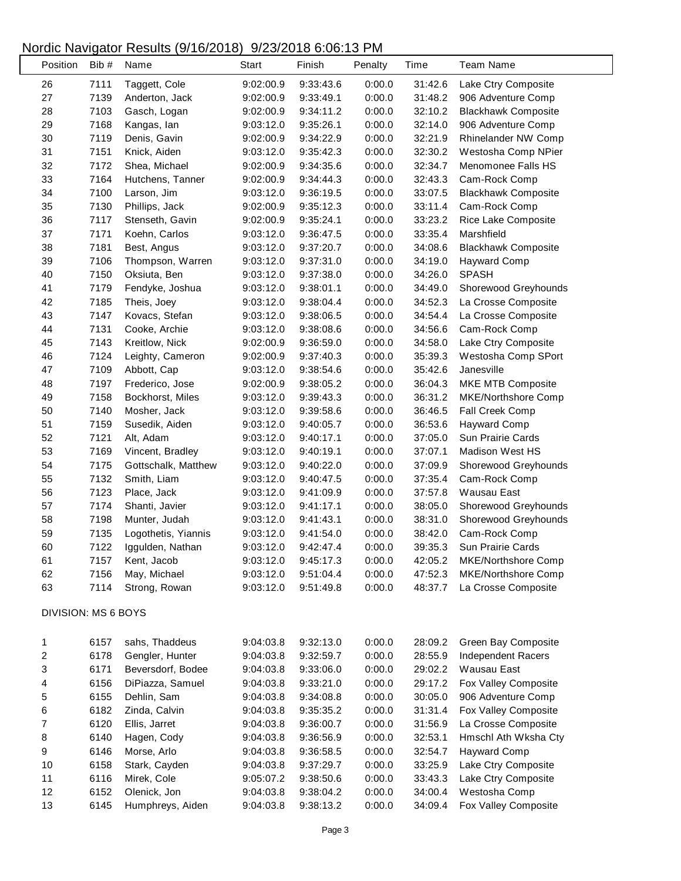## Nordic Navigator Results (9/16/2018) 9/23/2018 6:06:13 PM

| Position                | Bib#                | Name                | <b>Start</b> | Finish    | Penalty | Time    | <b>Team Name</b>           |
|-------------------------|---------------------|---------------------|--------------|-----------|---------|---------|----------------------------|
| 26                      | 7111                | Taggett, Cole       | 9:02:00.9    | 9:33:43.6 | 0:00.0  | 31:42.6 | Lake Ctry Composite        |
| 27                      | 7139                | Anderton, Jack      | 9:02:00.9    | 9:33:49.1 | 0:00.0  | 31:48.2 | 906 Adventure Comp         |
| 28                      | 7103                | Gasch, Logan        | 9:02:00.9    | 9:34:11.2 | 0:00.0  | 32:10.2 | <b>Blackhawk Composite</b> |
| 29                      | 7168                | Kangas, lan         | 9:03:12.0    | 9:35:26.1 | 0:00.0  | 32:14.0 | 906 Adventure Comp         |
| $30\,$                  | 7119                | Denis, Gavin        | 9:02:00.9    | 9:34:22.9 | 0:00.0  | 32:21.9 | Rhinelander NW Comp        |
| 31                      | 7151                | Knick, Aiden        | 9:03:12.0    | 9:35:42.3 | 0:00.0  | 32:30.2 | Westosha Comp NPier        |
| 32                      | 7172                | Shea, Michael       | 9:02:00.9    | 9:34:35.6 | 0:00.0  | 32:34.7 | Menomonee Falls HS         |
| 33                      | 7164                | Hutchens, Tanner    | 9:02:00.9    | 9:34:44.3 | 0:00.0  | 32:43.3 | Cam-Rock Comp              |
| 34                      | 7100                | Larson, Jim         | 9:03:12.0    | 9:36:19.5 | 0:00.0  | 33:07.5 | <b>Blackhawk Composite</b> |
| 35                      | 7130                | Phillips, Jack      | 9:02:00.9    | 9:35:12.3 | 0:00.0  | 33:11.4 | Cam-Rock Comp              |
| 36                      | 7117                | Stenseth, Gavin     | 9:02:00.9    | 9:35:24.1 | 0:00.0  | 33:23.2 | Rice Lake Composite        |
| 37                      | 7171                | Koehn, Carlos       | 9:03:12.0    | 9:36:47.5 | 0:00.0  | 33:35.4 | Marshfield                 |
| 38                      | 7181                | Best, Angus         | 9:03:12.0    | 9:37:20.7 | 0:00.0  | 34:08.6 | <b>Blackhawk Composite</b> |
| 39                      | 7106                | Thompson, Warren    | 9:03:12.0    | 9:37:31.0 | 0:00.0  | 34:19.0 | <b>Hayward Comp</b>        |
| 40                      | 7150                | Oksiuta, Ben        | 9:03:12.0    | 9:37:38.0 | 0:00.0  | 34:26.0 | <b>SPASH</b>               |
| 41                      | 7179                | Fendyke, Joshua     | 9:03:12.0    | 9:38:01.1 | 0:00.0  | 34:49.0 | Shorewood Greyhounds       |
| 42                      | 7185                | Theis, Joey         | 9:03:12.0    | 9:38:04.4 | 0:00.0  | 34:52.3 | La Crosse Composite        |
| 43                      | 7147                | Kovacs, Stefan      | 9:03:12.0    | 9:38:06.5 | 0:00.0  | 34:54.4 | La Crosse Composite        |
| 44                      | 7131                | Cooke, Archie       | 9:03:12.0    | 9:38:08.6 | 0:00.0  | 34:56.6 | Cam-Rock Comp              |
| 45                      | 7143                | Kreitlow, Nick      | 9:02:00.9    | 9:36:59.0 | 0:00.0  | 34:58.0 | Lake Ctry Composite        |
| 46                      | 7124                | Leighty, Cameron    | 9:02:00.9    | 9:37:40.3 | 0:00.0  | 35:39.3 | Westosha Comp SPort        |
| 47                      | 7109                | Abbott, Cap         | 9:03:12.0    | 9:38:54.6 | 0:00.0  | 35:42.6 | Janesville                 |
| 48                      | 7197                | Frederico, Jose     | 9:02:00.9    | 9:38:05.2 | 0:00.0  | 36:04.3 | MKE MTB Composite          |
| 49                      | 7158                | Bockhorst, Miles    | 9:03:12.0    | 9:39:43.3 | 0:00.0  | 36:31.2 | <b>MKE/Northshore Comp</b> |
| 50                      | 7140                | Mosher, Jack        | 9:03:12.0    | 9:39:58.6 | 0:00.0  | 36:46.5 | Fall Creek Comp            |
| 51                      | 7159                | Susedik, Aiden      | 9:03:12.0    | 9:40:05.7 | 0:00.0  | 36:53.6 | <b>Hayward Comp</b>        |
| 52                      | 7121                | Alt, Adam           | 9:03:12.0    | 9:40:17.1 | 0:00.0  | 37:05.0 | Sun Prairie Cards          |
| 53                      | 7169                | Vincent, Bradley    | 9:03:12.0    | 9:40:19.1 | 0:00.0  | 37:07.1 | <b>Madison West HS</b>     |
| 54                      | 7175                | Gottschalk, Matthew | 9:03:12.0    | 9:40:22.0 | 0:00.0  | 37:09.9 | Shorewood Greyhounds       |
| 55                      | 7132                | Smith, Liam         | 9:03:12.0    | 9:40:47.5 | 0:00.0  | 37:35.4 | Cam-Rock Comp              |
| 56                      | 7123                | Place, Jack         | 9:03:12.0    | 9:41:09.9 | 0:00.0  | 37:57.8 | Wausau East                |
| 57                      | 7174                | Shanti, Javier      | 9:03:12.0    | 9:41:17.1 | 0:00.0  | 38:05.0 | Shorewood Greyhounds       |
| 58                      | 7198                | Munter, Judah       | 9:03:12.0    | 9:41:43.1 | 0:00.0  | 38:31.0 | Shorewood Greyhounds       |
| 59                      | 7135                | Logothetis, Yiannis | 9:03:12.0    | 9:41:54.0 | 0:00.0  | 38:42.0 | Cam-Rock Comp              |
| 60                      | 7122                | Iggulden, Nathan    | 9:03:12.0    | 9:42:47.4 | 0:00.0  | 39:35.3 | Sun Prairie Cards          |
| 61                      | 7157                | Kent, Jacob         | 9:03:12.0    | 9:45:17.3 | 0:00.0  | 42:05.2 | MKE/Northshore Comp        |
| 62                      | 7156                | May, Michael        | 9:03:12.0    | 9:51:04.4 | 0:00.0  | 47:52.3 | MKE/Northshore Comp        |
| 63                      | 7114                | Strong, Rowan       | 9:03:12.0    | 9:51:49.8 | 0:00.0  | 48:37.7 | La Crosse Composite        |
|                         |                     |                     |              |           |         |         |                            |
|                         | DIVISION: MS 6 BOYS |                     |              |           |         |         |                            |
| 1                       | 6157                | sahs, Thaddeus      | 9:04:03.8    | 9:32:13.0 | 0:00.0  | 28:09.2 | Green Bay Composite        |
| 2                       | 6178                | Gengler, Hunter     | 9:04:03.8    | 9:32:59.7 | 0:00.0  | 28:55.9 | Independent Racers         |
| 3                       | 6171                | Beversdorf, Bodee   | 9:04:03.8    | 9:33:06.0 | 0:00.0  | 29:02.2 | Wausau East                |
| $\overline{\mathbf{4}}$ | 6156                | DiPiazza, Samuel    | 9:04:03.8    | 9:33:21.0 | 0:00.0  | 29:17.2 | Fox Valley Composite       |
| 5                       | 6155                | Dehlin, Sam         | 9:04:03.8    | 9:34:08.8 | 0:00.0  | 30:05.0 | 906 Adventure Comp         |
| 6                       | 6182                | Zinda, Calvin       | 9:04:03.8    | 9:35:35.2 | 0:00.0  | 31:31.4 | Fox Valley Composite       |
| $\boldsymbol{7}$        | 6120                | Ellis, Jarret       | 9:04:03.8    | 9:36:00.7 | 0:00.0  | 31:56.9 | La Crosse Composite        |
| 8                       | 6140                | Hagen, Cody         | 9:04:03.8    | 9:36:56.9 | 0:00.0  | 32:53.1 | Hmschl Ath Wksha Cty       |
| $\boldsymbol{9}$        | 6146                | Morse, Arlo         | 9:04:03.8    | 9:36:58.5 | 0:00.0  | 32:54.7 | <b>Hayward Comp</b>        |
| 10                      | 6158                | Stark, Cayden       | 9:04:03.8    | 9:37:29.7 | 0:00.0  | 33:25.9 | Lake Ctry Composite        |
| 11                      | 6116                | Mirek, Cole         | 9:05:07.2    | 9:38:50.6 | 0:00.0  | 33:43.3 | Lake Ctry Composite        |
| 12                      | 6152                | Olenick, Jon        | 9:04:03.8    | 9:38:04.2 | 0:00.0  | 34:00.4 | Westosha Comp              |
| 13                      | 6145                | Humphreys, Aiden    | 9:04:03.8    | 9:38:13.2 | 0:00.0  | 34:09.4 | Fox Valley Composite       |
|                         |                     |                     |              |           |         |         |                            |